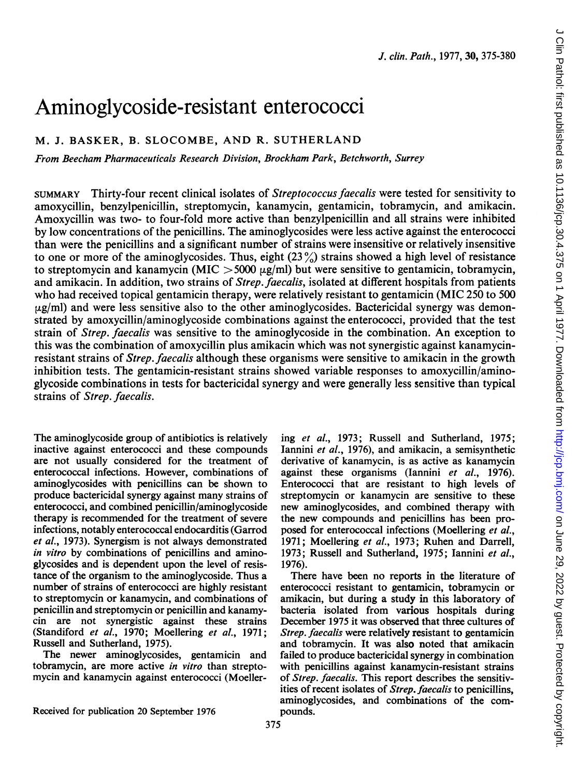# Aminoglycoside-resistant enterococci

## M. J. BASKER, B. SLOCOMBE, AND R. SUTHERLAND

From Beecham Pharmaceuticals Research Division, Brockham Park, Betchworth, Surrey

SUMMARY Thirty-four recent clinical isolates of Streptococcus faecalis were tested for sensitivity to amoxycillin, benzylpenicillin, streptomycin, kanamycin, gentamicin, tobramycin, and amikacin. Amoxycillin was two- to four-fold more active than benzylpenicillin and all strains were inhibited by low concentrations of the penicillins. The aminoglycosides were less active against the enterococci than were the penicillins and a significant number of strains were insensitive or relatively insensitive to one or more of the aminoglycosides. Thus, eight  $(23\%)$  strains showed a high level of resistance to streptomycin and kanamycin (MIC  $>$  5000  $\mu$ g/ml) but were sensitive to gentamicin, tobramycin, and amikacin. In addition, two strains of *Strep. faecalis*, isolated at different hospitals from patients who had received topical gentamicin therapy, were relatively resistant to gentamicin (MIC 250 to 500  $\mu$ g/ml) and were less sensitive also to the other aminoglycosides. Bactericidal synergy was demonstrated by amoxycillin/aminoglycoside combinations against the enterococci, provided that the test strain of Strep. faecalis was sensitive to the aminoglycoside in the combination. An exception to this was the combination of amoxycillin plus amikacin which was not synergistic against kanamycinresistant strains of Strep. faecalis although these organisms were sensitive to amikacin in the growth inhibition tests. The gentamicin-resistant strains showed variable responses to amoxycillin/aminoglycoside combinations in tests for bactericidal synergy and were generally less sensitive than typical strains of Strep. faecalis.

The aminoglycoside group of antibiotics is relatively inactive against enterococci and these compounds are not usually considered for the treatment of enterococcal infections. However, combinations of aminoglycosides with penicillins can be shown to produce bactericidal synergy against many strains of enterococci, and combined penicillin/aminoglycoside therapy is recommended for the treatment of severe infections, notably enterococcal endocarditis (Garrod et al., 1973). Synergism is not always demonstrated in vitro by combinations of penicillins and aminoglycosides and is dependent upon the level of resistance of the organism to the aminoglycoside. Thus a number of strains of enterococci are highly resistant to streptomycin or kanamycin, and combinations of penicillin and streptomycin or penicillin and kanamycin are not synergistic against these strains (Standiford et al., 1970; Moellering et al., 1971; Russell and Sutherland, 1975).

The newer aminoglycosides, gentamicin and tobramycin, are more active in vitro than streptomycin and kanamycin against enterococci (Moellering et al., 1973; Russell and Sutherland, 1975; lannini et al., 1976), and amikacin, a semisynthetic derivative of kanamycin, is as active as kanamycin against these organisms (Iannini et al., 1976). Enterococci that are resistant to high levels of streptomycin or kanamycin are sensitive to these new aminoglycosides, and combined therapy with the new compounds and penicillins has been proposed for enterococcal infections (Moellering et al., 1971; Moellering et al., 1973; Ruhen and Darrell, 1973; Russell and Sutherland, 1975; Iannini et al., 1976).

There have been no reports in the literature of enterococci resistant to gentamicin, tobramycin or amikacin, but during a study in this laboratory of bacteria isolated from various hospitals during December 1975 it was observed that three cultures of Strep. faecalis were relatively resistant to gentamicin and tobramycin. It was also noted that amikacin failed to produce bactericidal synergy in combination with penicillins against kanamycin-resistant strains of Strep. faecalis. This report describes the sensitivities of recent isolates of Strep. faecalis to penicillins, aminoglycosides, and combinations of the compounds.

Received for publication 20 September 1976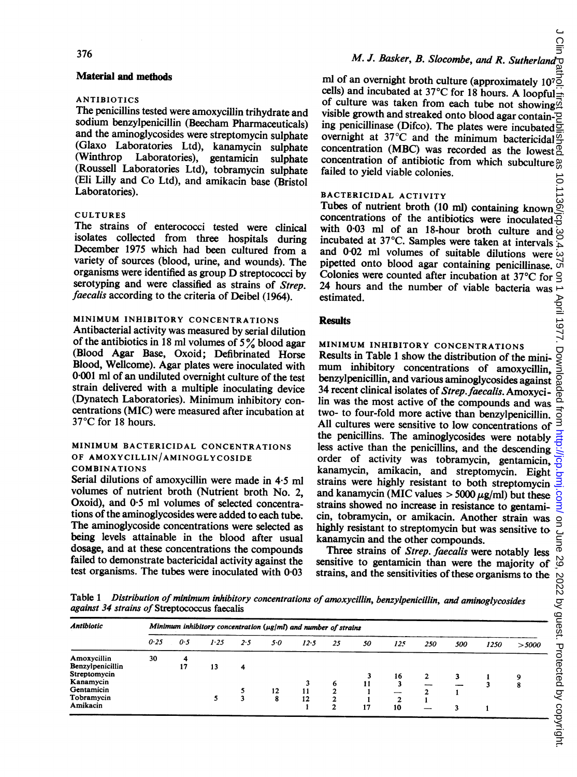### Material and methods

### ANTIBIOTICS

The penicillins tested were amoxycillin trihydrate and sodium benzylpenicillin (Beecham Pharmaceuticals) and the aminoglycosides were streptomycin sulphate (Glaxo Laboratories Ltd), kanamycin sulphate Laboratories), gentamicin sulphate (Roussell Laboratories Ltd), tobramycin sulphate (Eli Lilly and Co Ltd), and amikacin base (Bristol Laboratories).

### CULTURES

The strains of enterococci tested were clinical isolates collected from three hospitals during December 1975 which had been cultured from a variety of sources (blood, urine, and wounds). The organisms were identified as group D streptococci by serotyping and were classified as strains of Strep. faecalis according to the criteria of Deibel (1964).

### MINIMUM INHIBITORY CONCENTRATIONS

Antibacterial activity was measured by serial dilution of the antibiotics in 18 ml volumes of  $5\%$  blood agar (Blood Agar Base, Oxoid; Defibrinated Horse Blood, Wellcome). Agar plates were inoculated with 0-001 ml of an undiluted overnight culture of the test strain delivered with a multiple inoculating device (Dynatech Laboratories). Minimum inhibitory concentrations (MIC) were measured after incubation at 37°C for 18 hours.

### MINIMUM BACTERICIDAL CONCENTRATIONS OF AMOXYCILLIN/AMINOGLYCOSIDE COMBINATIONS

Serial dilutions of amoxycillin were made in 4-5 ml volumes of nutrient broth (Nutrient broth No. 2, Oxoid), and 0.5 ml volumes of selected concentrations of the aminoglycosides were added to each tube. The aminoglycoside concentrations were selected as being levels attainable in the blood after usual dosage, and at these concentrations the compounds failed to demonstrate bactericidal activity against the test organisms. The tubes were inoculated with 0-03

## M. J. Basker, B. Slocombe, and R. Sutherland

ml of an overnight broth culture (approximately 10<sup>7</sup> $\frac{1}{2}$  cells) and incubated at 37°C for 18 hours. A loopful  $\frac{1}{2}$ of culture was taken from each tube not showing.  $\vec{a}$ visible growth and streaked onto blood agar contain ing penicillinase (Difco). The plates were incubated  $\bar{c}$ overnight at 37°C and the minimum bactericidal  $\frac{\overline{\alpha}}{2}$ concentration (MBC) was recorded as the lowest  ${}^{\circ}_{\circ}$ concentration of antibiotic from which subculture  $\frac{\omega}{\omega}$ failed to yield viable colonies.

# BACTERICIDAL ACTIVITY

Tubes of nutrient broth (10 ml) containing known  $\widetilde{\otimes}$ concentrations of the antibiotics were inoculated  $\overline{\Theta}$ with 0.03 ml of an 18-hour broth culture and  $\omega$ incubated at 37°C. Samples were taken at intervals  $\frac{1}{10}$  and 0.02 ml volumes of suitable dilutions were  $\frac{1}{10}$  pipetted onto blood agar containing penicillinase. and 0-02 ml volumes of suitable dilutions were pipetted onto blood agar containing penicillinase.  $\overline{S}$ <br>Colonies were counted after incubation at 37°C for  $\overline{S}$ Colonies were counted after incubation at 37°C for  $\frac{9}{24}$  hours and the number of viable bacteria was  $\rightarrow$ 24 hours and the number of viable bacteria was estimated.

### **Results**

### MINIMUM INHIBITORY CONCENTRATIONS

Results in Table <sup>1</sup> show the distribution of the miniestimated.<br> **Results**<br>
MINIMUM INHIBITORY CONCENTRATIONS<br>
Results in Table 1 show the distribution of the mini-<br>
mum inhibitory concentrations of amoxycillin,<br>
benzylpenicillin, and various aminoglycosides against  $\frac{1}{10$ 34 recent clinical isolates of Strep. faecalis. Amoxycilin was the most active of the compounds and was two- to four-fold more active than benzylpenicillin. All cultures were sensitive to low concentrations of the penicillins. The aminoglycosides were notably less active than the penicillins, and the descending order of activity was tobramycin, gentamicin, kanamycin, amikacin, and streptomycin. Eight and kanamycin (MIC values  $>$  5000  $\mu$ g/ml) but these strains showed no increase in resistance to gentami cin, tobramycin, or amikacin. Another strain was highly resistant to streptomycin but was sensitive to kanamycin and the other compounds.

Three strains of Strep. faecalis were notably less strains, and the sensitivities of these organisms to the

Table 1 Distribution of minimum inhibitory concentrations of amoxycillin, benzylpenicillin, and aminoglycosides against 34 strains of Streptococcus faecalis

| Table 1<br>Distribution of minimum inhibitory concentrations of amoxycillin, benzylpenicillin, and aminoglycosides<br>against 34 strains of Streptococcus faecalis |                                                                      |         |         |     |                |                                         |    |    |                            |     |     |      |          |
|--------------------------------------------------------------------------------------------------------------------------------------------------------------------|----------------------------------------------------------------------|---------|---------|-----|----------------|-----------------------------------------|----|----|----------------------------|-----|-----|------|----------|
| <b>Antibiotic</b>                                                                                                                                                  | Minimum inhibitory concentration ( $\mu$ g/ml) and number of strains |         |         |     |                |                                         |    |    |                            |     |     |      |          |
|                                                                                                                                                                    | 0.25                                                                 | 0.5     | 1.25    | 2.5 | 50             | 12.5                                    | 25 | 50 | 125                        | 250 | 500 | 1250 | $>$ 5000 |
| Amoxycillin<br>Benzylpenicillin<br>Streptomycin<br>Kanamycin<br>Gentamicin<br>Tobramycin<br>Amikacin                                                               | 30                                                                   | 4<br>17 | 13<br>5 | 4   | $\frac{12}{8}$ | $\begin{array}{c} 11 \\ 12 \end{array}$ | 6  | 11 | 16<br>$\overline{2}$<br>10 |     | 3   |      | 9<br>8   |

Õ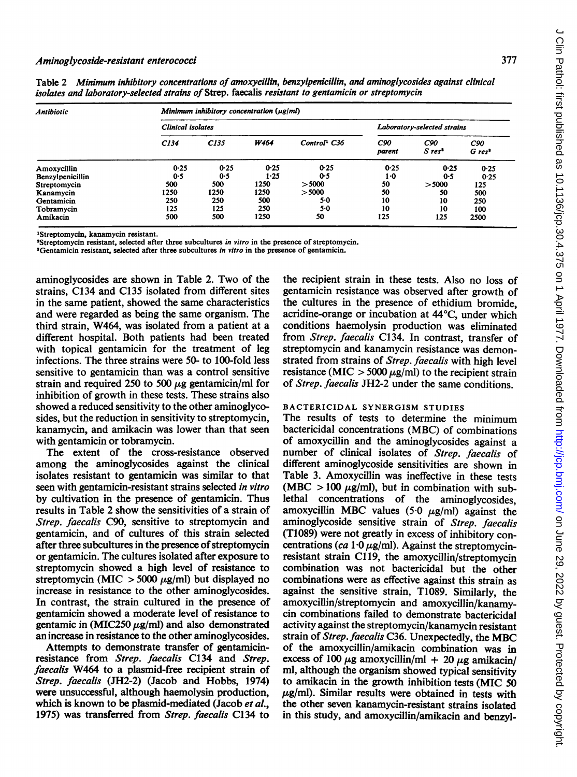| Antibiotic       | Minimum inhibitory concentration $(\mu g/m)$ |      |                             |                          |               |                             |                             |  |  |  |  |
|------------------|----------------------------------------------|------|-----------------------------|--------------------------|---------------|-----------------------------|-----------------------------|--|--|--|--|
|                  | <b>Clinical</b> isolates                     |      | Laboratory-selected strains |                          |               |                             |                             |  |  |  |  |
|                  | C134                                         | C135 | W464                        | Control <sup>1</sup> C36 | C90<br>parent | C90<br>$S$ res <sup>2</sup> | C90<br>$G$ res <sup>3</sup> |  |  |  |  |
| Amoxycillin      | 0.25                                         | 0.25 | 0.25                        | 0.25                     | 0.25          | 0.25                        | 0.25                        |  |  |  |  |
| Benzylpenicillin | 0.5                                          | 0.5  | 1.25                        | 0.5                      | $1-0$         | 0.5                         | 0.25                        |  |  |  |  |
| Streptomycin     | 500                                          | 500  | 1250                        | > 5000                   | 50            | > 5000                      | 125                         |  |  |  |  |
| Kanamycin        | 1250                                         | 1250 | 1250                        | > 5000                   | 50            | 50                          | 500                         |  |  |  |  |
| Gentamicin       | 250                                          | 250  | 500                         | 5.0                      | 10            | 10                          | 250                         |  |  |  |  |
| Tobramycin       | 125                                          | 125  | 250                         | 5.0                      | 10            | 10                          | 100                         |  |  |  |  |
| Amikacin         | 500                                          | 500  | 1250                        | 50                       | 125           | 125                         | 2500                        |  |  |  |  |

Table 2 Minimum inhibitory concentrations of amoxycillin, benzylpenicillin, and aminoglycosides against clinical isolates and laboratory-selected strains of Strep. faecalis resistant to gentamicin or streptomycin

'Streptomycin, kanamycin resistant.

'Streptomycin resistant, selected after three subcultures in vitro in the presence of streptomycin.

<sup>3</sup>Gentamicin resistant, selected after three subcultures in vitro in the presence of gentamicin.

aminoglycosides are shown in Table 2. Two of the strains, C134 and C135 isolated from different sites in the same patient, showed the same characteristics and were regarded as being the same organism. The third strain, W464, was isolated from a patient at a different hospital. Both patients had been treated with topical gentamicin for the treatment of leg infections. The three strains were 50- to 100-fold less sensitive to gentamicin than was a control sensitive strain and required 250 to 500  $\mu$ g gentamicin/ml for inhibition of growth in these tests. These strains also showed a reduced sensitivity to the other aminoglycosides, but the reduction in sensitivity to streptomycin, kanamycin, and amikacin was lower than that seen with gentamicin or tobramycin.

The extent of the cross-resistance observed among the aminoglycosides against the clinical isolates resistant to gentamicin was similar to that seen with gentamicin-resistant strains selected in vitro by cultivation in the presence of gentamicin. Thus results in Table 2 show the sensitivities of a strain of Strep. faecalis C90, sensitive to streptomycin and gentamicin, and of cultures of this strain selected after three subcultures in the presence of streptomycin or gentamicin. The cultures isolated after exposure to streptomycin showed a high level of resistance to streptomycin (MIC  $>$  5000  $\mu$ g/ml) but displayed no increase in resistance to the other aminoglycosides. In contrast, the strain cultured in the presence of gentamicin showed a moderate level of resistance to gentamic in  $(MIC250 \mu g/ml)$  and also demonstrated an increase in resistance to the other aminoglycosides.

Attempts to demonstrate transfer of gentamicinresistance from Strep. faecalis C134 and Strep. faecalis W464 to a plasmid-free recipient strain of Strep. faecalis (JH2-2) (Jacob and Hobbs, 1974) were unsuccessful, although haemolysin production, which is known to be plasmid-mediated (Jacob et al., 1975) was transferred from Strep. faecalis C134 to the recipient strain in these tests. Also no loss of gentamicin resistance was observed after growth of the cultures in the presence of ethidium bromide, acridine-orange or incubation at 44°C, under which conditions haemolysin production was eliminated from Strep. faecalis C134. In contrast, transfer of streptomycin and kanamycin resistance was demonstrated from strains of Strep. faecalis with high level resistance (MIC  $>$  5000  $\mu$ g/ml) to the recipient strain of Strep. faecalis JH2-2 under the same conditions.

#### BACTERICIDAL SYNERGISM STUDIES

The results of tests to determine the minimum bactericidal concentrations (MBC) of combinations of amoxycillin and the aminoglycosides against a number of clinical isolates of Strep. faecalis of different aminoglycoside sensitivities are shown in Table 3. Amoxycillin was ineffective in these tests (MBC  $> 100 \mu$ g/ml), but in combination with sublethal concentrations of the aminoglycosides, amoxycillin MBC values (5.0  $\mu$ g/ml) against the aminoglycoside sensitive strain of Strep. faecalis (T1089) were not greatly in excess of inhibitory concentrations (ca  $1.0 \mu g/ml$ ). Against the streptomycinresistant strain Cl 19, the amoxycillin/streptomycin combination was not bactericidal but the other combinations were as effective against this strain as against the sensitive strain, T1089. Similarly, the amoxycillin/streptomycin and amoxycillin/kanamycin combinations failed to demonstrate bactericidal activity against the streptomycin/kanamycin resistant strain of Strep. faecalis C36. Unexpectedly, the MBC of the amoxycillin/amikacin combination was in excess of 100  $\mu$ g amoxycillin/ml + 20  $\mu$ g amikacin/ ml, although the organism showed typical sensitivity to amikacin in the growth inhibition tests (MIC 50  $\mu$ g/ml). Similar results were obtained in tests with the other seven kanamycin-resistant strains isolated in this study, and amoxycillin/amikacin and benzyl-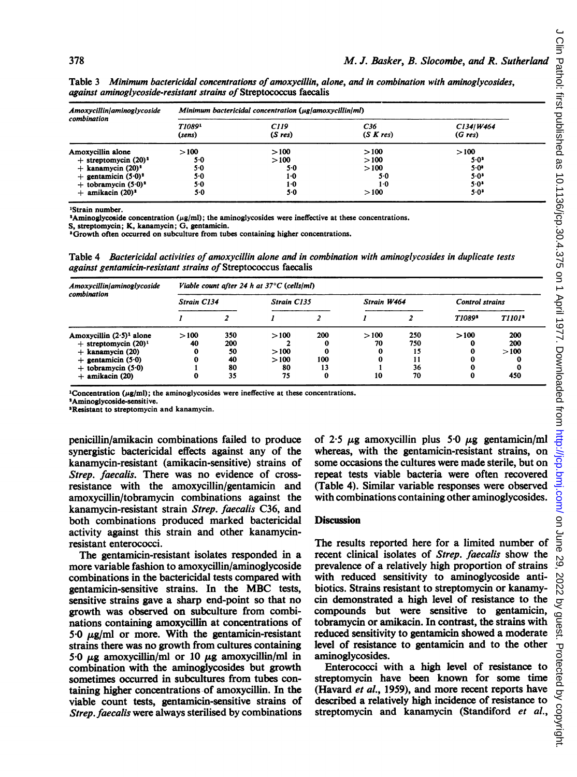| Amoxycillin/aminoglycoside<br>combination | Minimum bactericidal concentration (µg/amoxycillin/ml) |                |                                 |                     |  |  |  |  |
|-------------------------------------------|--------------------------------------------------------|----------------|---------------------------------|---------------------|--|--|--|--|
|                                           | T1089 <sup>1</sup><br>(sens)                           | C119<br>(Sres) | C <sub>36</sub><br>$(S \nKres)$ | C134/W464<br>(Gres) |  |  |  |  |
| Amoxycillin alone                         | >100                                                   | >100           | >100                            | >100                |  |  |  |  |
| $+$ streptomycin (20) <sup>2</sup>        | 5.0                                                    | >100           | >100                            | $5.0^3$             |  |  |  |  |
| $+$ kanamycin $(20)^2$                    | 5.0                                                    | $5-0$          | >100                            | $5 - 0$ *           |  |  |  |  |
| + gentamicin $(5.0)^2$                    | $5-0$                                                  | 1.0            | 5.0                             | $5.0^3$             |  |  |  |  |
| + tobramycin $(5.0)^2$                    | $5-0$                                                  | $1-0$          | $1-0$                           | $5.0$ <sup>3</sup>  |  |  |  |  |
| $+$ amikacin (20) <sup>2</sup>            | 5.0                                                    | 5.0            | >100                            | $5.0^{\circ}$       |  |  |  |  |

Table 3 Minimum bactericidal concentrations of amoxycillin, alone, and in combination with aminoglycosides, against aminoglycoside-resistant strains of Streptococcus faecalis

'Strain number.

<sup>2</sup>Aminoglycoside concentration ( $\mu$ g/ml); the aminoglycosides were ineffective at these concentrations.

S, streptomycin; K, kanamycin; G, gentamicin.

'Growth often occurred on subculture from tubes containing higher concentrations.

Table 4 Bactericidal activities of amoxycillin alone and in combination with aminoglycosides in duplicate tests against gentamicin-resistant strains of Streptococcus faecalis

| Amoxycillin/aminoglycoside  | Viable count after 24 h at $37^{\circ}$ C (cells/ml) |     |                    |     |             |     |                        |               |  |  |
|-----------------------------|------------------------------------------------------|-----|--------------------|-----|-------------|-----|------------------------|---------------|--|--|
| combination                 | <b>Strain C134</b>                                   |     | <b>Strain C135</b> |     | Strain W464 |     | <b>Control strains</b> |               |  |  |
|                             |                                                      |     |                    |     |             |     | T1089 <sup>2</sup>     | <b>T1101*</b> |  |  |
| Amoxycillin $(2.5)^1$ alone | >100                                                 | 350 | >100               | 200 | >100        | 250 | >100                   | 200           |  |  |
| $+$ streptomycin $(20)^1$   | 40                                                   | 200 |                    |     | 70          | 750 |                        | 200           |  |  |
| $+$ kanamycin (20)          | 0                                                    | 50  | >100               |     | 0           | 15  |                        | >100          |  |  |
| $+$ gentamicin (5.0)        | 0                                                    | 40  | >100               | 100 | 0           |     |                        |               |  |  |
| $+$ tobramycin $(5.0)$      |                                                      | 80  | 80                 | 13  |             | 36  |                        |               |  |  |
| $+$ amikacin (20)           | 0                                                    | 35  | 75                 | 0   | 10          | 70  |                        | 450           |  |  |

<sup>1</sup>Concentration ( $\mu$ g/ml); the aminoglycosides were ineffective at these concentrations.

'Aminoglycoside-sensitive.

'Resistant to streptomycin and kanamycin.

penicillin/amikacin combinations failed to produce synergistic bactericidal effects against any of the kanamycin-resistant (amikacin-sensitive) strains of Strep. faecalis. There was no evidence of crossresistance with the amoxycillin/gentamicin and amoxycillin/tobramycin combinations against the kanamycin-resistant strain Strep. faecalis C36, and both combinations produced marked bactericidal activity against this strain and other kanamycinresistant enterococci.

The gentamicin-resistant isolates responded in a more variable fashion to amoxycillin/aminoglycoside combinations in the bactericidal tests compared with gentamicin-sensitive strains. In the MBC tests, sensitive strains gave a sharp end-point so that no growth was observed on subculture from combinations containing amoxycillin at concentrations of 5.0  $\mu$ g/ml or more. With the gentamicin-resistant strains there was no growth from cultures containing 5.0  $\mu$ g amoxycillin/ml or 10  $\mu$ g amoxycillin/ml in combination with the aminoglycosides but growth sometimes occurred in subcultures from tubes containing higher concentrations-of amoxycillin. In the viable count tests, gentamicin-sensitive strains of Strep. faecalis were always sterilised by combinations

of 2.5  $\mu$ g amoxycillin plus 5.0  $\mu$ g gentamicin/ml whereas, with the gentamicin-resistant strains, on some occasions the cultures were made sterile, but on repeat tests viable bacteria were often recovered (Table 4). Similar variable responses were observed with combinations containing other aminoglycosides.

#### **Discussion**

The results reported here for a limited number of recent clinical isolates of Strep. faecalis show the prevalence of a relatively high proportion of strains with reduced sensitivity to aminoglycoside antibiotics. Strains resistant to streptomycin or kanamycin demonstrated a high level of resistance to the compounds but were sensitive to gentamicin, tobramycin or amikacin. In contrast, the strains with reduced sensitivity to gentamicin showed a moderate level of resistance to gentamicin and to the other aminoglycosides.

Enterococci with a high level of resistance to streptomycin have been known for some time (Havard et al., 1959), and more recent reports have described a relatively high incidence of resistance to compounds but were sensitive to gentamicin,<br>tobramycin or amikacin. In contrast, the strains with<br>reduced sensitivity to gentamicin showed a moderate et<br>level of resistance to gentamicin and to the other<br>aminoglycosides.<br>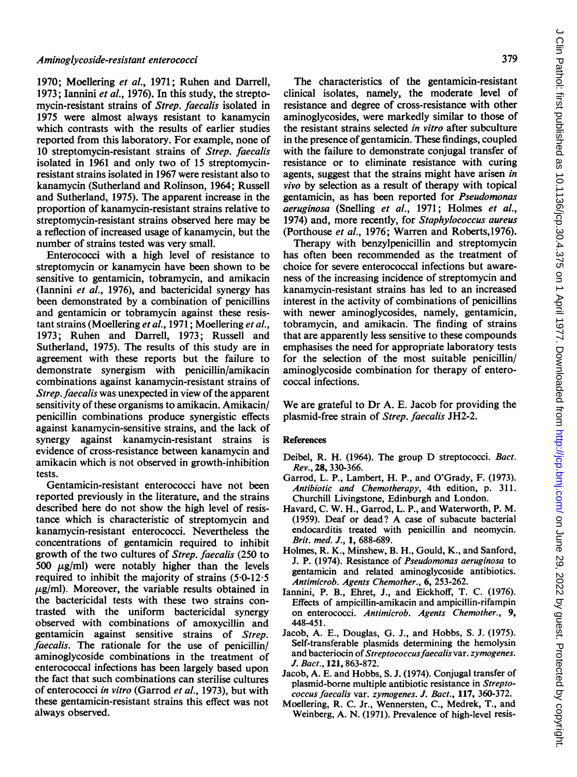#### Aminoglycoside-resistant enterococci

1970; Moellering et al., 1971; Ruhen and Darrell, 1973; Iannini et al., 1976). In this study, the streptomycin-resistant strains of Strep. faecalis isolated in 1975 were almost always resistant to kanamycin which contrasts with the results of earlier studies reported from this laboratory. For example, none of 10 streptomycin-resistant strains of Strep. faecalis isolated in 1961 and only two of 15 streptomycinresistant strains isolated in 1967 were resistant also to kanamycin (Sutherland and Rolinson, 1964; Russell and Sutherland, 1975). The apparent increase in the proportion of kanamycin-resistant strains relative to streptomycin-resistant strains observed here may be a reflection of increased usage of kanamycin, but the number of strains tested was very small.

Enterococci with a high level of resistance to streptomycin or kanamycin have been shown to be sensitive to gentamicin, tobramycin, and amikacin (lannini et al., 1976), and bactericidal synergy has been demonstrated by a combination of penicillins and gentamicin or tobramycin against these resistant strains (Moellering et al., 1971; Moellering et al., 1973; Ruhen and Darrell, 1973; Russell and Sutherland, 1975). The results of this study are in agreement with these reports but the failure to demonstrate synergism with penicillin/amikacin combinations against kanamycin-resistant strains of Strep. faecalis was unexpected in view of the apparent sensitivity of these organisms to amikacin. Amikacin/ penicillin combinations produce synergistic effects against kanamycin-sensitive strains, and the lack of synergy against kanamycin-resistant strains is evidence of cross-resistance between kanamycin and amikacin which is not observed in growth-inhibition tests.

Gentamicin-resistant enterococci have not been reported previously in the literature, and the strains described here do not show the high level of resistance which is characteristic of streptomycin and kanamycin-resistant enterococci. Nevertheless the concentrations of gentamicin required to inhibit growth of the two cultures of Strep. faecalis (250 to 500  $\mu$ g/ml) were notably higher than the levels required to inhibit the majority of strains (5-0-12-5  $\mu$ g/ml). Moreover, the variable results obtained in the bactericidal tests with these two strains contrasted with the uniform bactericidal synergy observed with combinations of amoxycillin and gentamicin against sensitive strains of Strep. faecalis. The rationale for the use of penicillin/ aminoglycoside combinations in the treatment of enterococcal infections has been largely based upon the fact that such combinations can sterilise cultures of enterococci in vitro (Garrod et al., 1973), but with these gentamicin-resistant strains this effect was not always observed.

The characteristics of the gentamicin-resistant clinical isolates, namely, the moderate level of resistance and degree of cross-resistance with other aminoglycosides, were markedly similar to those of the resistant strains selected in vitro after subculture in the presence of gentamicin. These findings, coupled with the failure to demonstrate conjugal transfer of resistance or to eliminate resistance with curing agents, suggest that the strains might have arisen in vivo by selection as a result of therapy with topical gentamicin, as has been reported for Pseudomonas aeruginosa (Snelling et al., 1971; Holmes et al., 1974) and, more recently, for Staphylococcus aureus (Porthouse et al., 1976; Warren and Roberts,1976).

Therapy with benzylpenicillin and streptomycin has often been recommended as the treatment of choice for severe enterococcal infections but awareness of the increasing incidence of streptomycin and kanamycin-resistant strains has led to an increased interest in the activity of combinations of penicillins with newer aminoglycosides, namely, gentamicin, tobramycin, and amikacin. The finding of strains that are apparently less sensitive to these compounds emphasises the need for appropriate laboratory tests for the selection of the most suitable penicillin/ aminoglycoside combination for therapy of enterococcal infections.

We are grateful to Dr A. E. Jacob for providing the plasmid-free strain of Strep. faecalis JH2-2.

### References

- Deibel, R. H. (1964). The group D streptococci. Bact. Rev., 28, 330-366.
- Garrod, L. P., Lambert, H. P., and O'Grady, F. (1973). Antibiotic and Chemotherapy, 4th edition, p. 311. Churchill Livingstone, Edinburgh and London.
- Havard, C. W. H., Garrod, L. P., and Waterworth, P. M. (1959). Deaf or dead? A case of subacute bacterial endocarditis treated with penicillin and neomycin. Brit. med. J., 1, 688-689.
- Holmes, R. K., Minshew, B. H., Gould, K., and Sanford, J. P. (1974). Resistance of Pseudomonas aeruginosa to gentamicin and related aminoglycoside antibiotics. Antimicrob. Agents Chemother., 6, 253-262.
- lannini, P. B., Ehret, J., and Eickhoff, T. C. (1976). Effects of ampicillin-amikacin and ampicillin-rifampin on enterococci. Antimicrob. Agents Chemother., 9, 448-451.
- Jacob, A. E., Douglas, G. J., and Hobbs, S. J. (1975). Self-transferable plasmids determining the hemolysin and bacteriocin of Streptococcus faecalis var. zymogenes. J. Bact., 121, 863-872.
- Jacob, A. E. and Hobbs, S. J. (1974). Conjugal transfer of plasmid-borne multiple antibiotic resistance in Streptococcus faecalis var. zymogenes. J. Bact., 117, 360-372.
- Moellering, R. C. Jr., Wennersten, C., Medrek, T., and Weinberg, A. N. (1971). Prevalence of high-level resis-